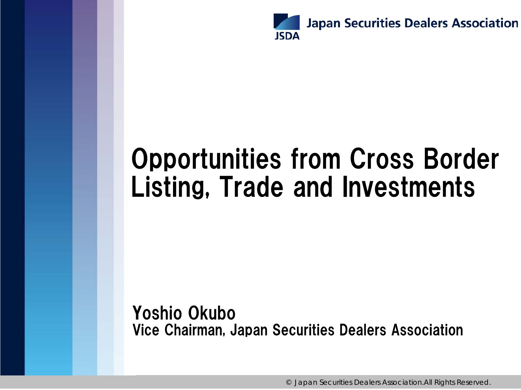

# Opportunities from Cross Border Listing, Trade and Investments

Yoshio Okubo Vice Chairman, Japan Securities Dealers Association

© Japan Securities Dealers Association.All Rights Reserved.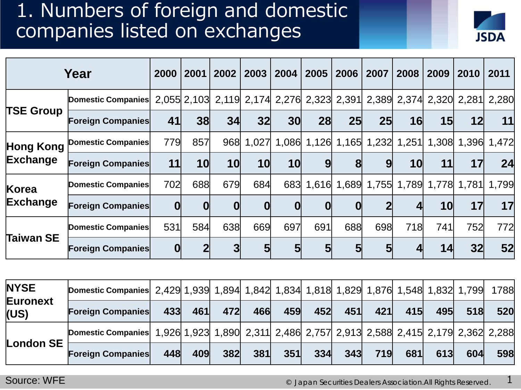#### 1. Numbers of foreign and domestic companies listed on exchanges



|                              | Year                     | 2000         | 2001         | 2002                                                              | 2003      | 2004  | 2005 | 2006            | 2007                                      | 2008 | 2009            | 2010 | 2011  |
|------------------------------|--------------------------|--------------|--------------|-------------------------------------------------------------------|-----------|-------|------|-----------------|-------------------------------------------|------|-----------------|------|-------|
| <b>TSE Group</b>             | Domestic Companies       |              |              | 2,055 2,103 2,119 2,174 2,276 2,323 2,391 2,389 2,374 2,320 2,281 |           |       |      |                 |                                           |      |                 |      | 2,280 |
|                              | <b>Foreign Companies</b> | 41           | 38           | 34                                                                | 32        | 30    | 28   | 25 <sub>l</sub> | 25 <sub>l</sub>                           | 16   | 15 <sub>l</sub> | 12   | 11    |
| <b>Hong Kong</b><br>Exchange | Domestic Companies       | 779          | 857          |                                                                   | 968 1,027 | 1,086 |      |                 | 1,126 1,165 1,232 1,251 1,308 1,396 1,472 |      |                 |      |       |
|                              | <b>Foreign Companies</b> | 11           | 10           | 10                                                                | 10        | 10    | 9    | 8               | 9                                         | 10   | 11              | 17   | 24    |
| Korea<br>Exchange            | Domestic Companies       | 702          | 688          | 679                                                               | 684       | 683   |      |                 | 1,616 1,689 1,755 1,789 1,778 1,781 1,799 |      |                 |      |       |
|                              | <b>Foreign Companies</b> | 0            | $\mathbf{0}$ | $\mathbf 0$                                                       | 0         | 0     | 0    | $\mathbf 0$     |                                           |      | 10              | 17   | 17    |
| Taiwan SE                    | Domestic Companies       | 531          | 584          | 638                                                               | 669       | 697   | 691  | 688             | 698                                       | 718  | 741             | 752  | 772   |
|                              | <b>Foreign Companies</b> | $\mathbf{0}$ |              | 3                                                                 | 5         | 5     | 5    | $5\overline{)}$ | 5                                         |      | 14              | 32   | 52    |

| <b>NYSE</b>      | Domestic Companies 2,429 1,939 1,894 1,842 1,834 1,818 1,829 1,876 1,548 1,832 1,799 1788  |     |     |     |     |     |                   |     |     |     |     |     |     |
|------------------|--------------------------------------------------------------------------------------------|-----|-----|-----|-----|-----|-------------------|-----|-----|-----|-----|-----|-----|
| Euronext<br>(US) | <b>Foreign Companies</b>                                                                   | 433 | 461 | 472 | 466 | 459 | $\sim$ 452 $\sim$ | 451 | 421 | 415 | 495 | 518 | 520 |
|                  | Domestic Companies 1,926 1,923 1,890 2,311 2,486 2,757 2,913 2,588 2,415 2,179 2,362 2,288 |     |     |     |     |     |                   |     |     |     |     |     |     |
| London SE        | <b>Foreign Companies</b>                                                                   | 448 | 409 | 382 | 381 | 351 | 334               | 343 | 719 | 681 | 613 | 604 | 598 |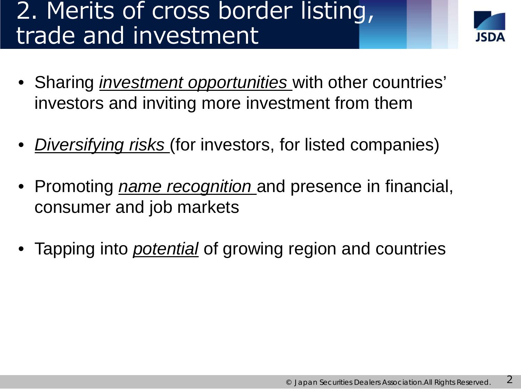# 2. Merits of cross border listing, trade and investment



- Sharing *investment opportunities* with other countries' investors and inviting more investment from them
- *Diversifying risks* (for investors, for listed companies)
- Promoting *name recognition* and presence in financial, consumer and job markets
- Tapping into *potential* of growing region and countries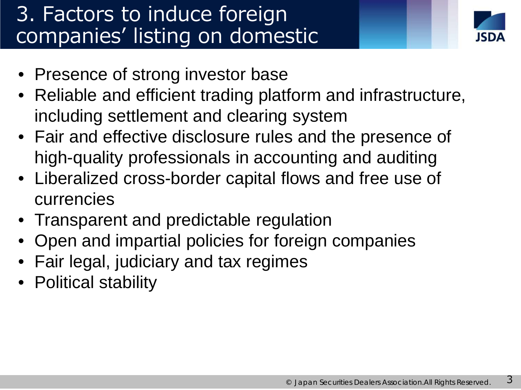### 3. Factors to induce foreign companies' listing on domestic



- exchanges • Presence of strong investor base
- Reliable and efficient trading platform and infrastructure, including settlement and clearing system
- Fair and effective disclosure rules and the presence of high-quality professionals in accounting and auditing
- Liberalized cross-border capital flows and free use of currencies
- Transparent and predictable regulation
- Open and impartial policies for foreign companies
- Fair legal, judiciary and tax regimes
- Political stability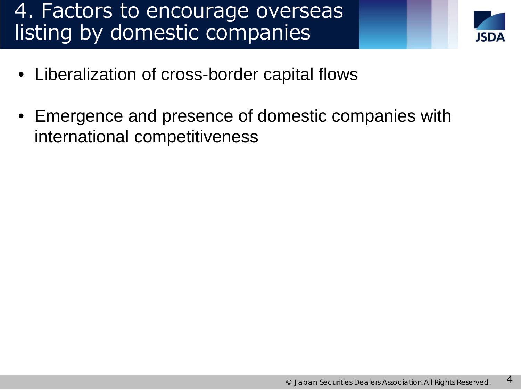#### 4. Factors to encourage overseas listing by domestic companies



- Liberalization of cross-border capital flows
- Emergence and presence of domestic companies with international competitiveness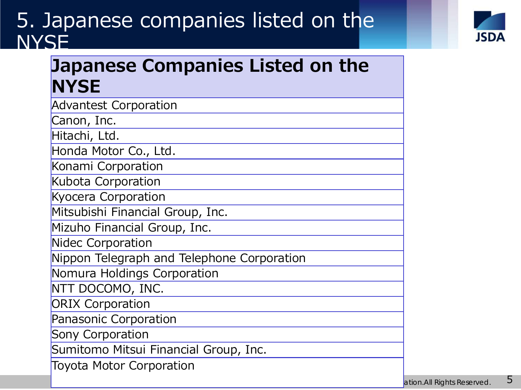### 5. Japanese companies listed on the **NYSE**



#### **Japanese Companies Listed on the NYSE**

| <b>Advantest Corporation</b>               |
|--------------------------------------------|
| Canon, Inc.                                |
| Hitachi, Ltd.                              |
| Honda Motor Co., Ltd.                      |
| Konami Corporation                         |
| Kubota Corporation                         |
| <b>Kyocera Corporation</b>                 |
| Mitsubishi Financial Group, Inc.           |
| Mizuho Financial Group, Inc.               |
| Nidec Corporation                          |
| Nippon Telegraph and Telephone Corporation |
| Nomura Holdings Corporation                |
| NTT DOCOMO, INC.                           |
| <b>ORIX Corporation</b>                    |
| Panasonic Corporation                      |
| Sony Corporation                           |
| Sumitomo Mitsui Financial Group, Inc.      |
| <b>Toyota Motor Corporation</b>            |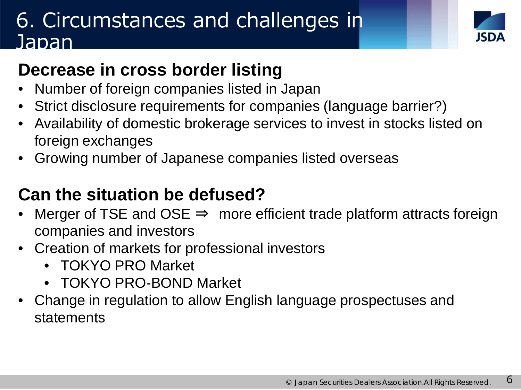### 6. Circumstances and challenges in Japan



#### **Decrease in cross border listing**

- Number of foreign companies listed in Japan
- Strict disclosure requirements for companies (language barrier?)
- Availability of domestic brokerage services to invest in stocks listed on foreign exchanges
- Growing number of Japanese companies listed overseas

#### **Can the situation be defused?**

- Merger of TSE and OSE  $\Rightarrow$  more efficient trade platform attracts foreign companies and investors
- Creation of markets for professional investors
	- TOKYO PRO Market
	- TOKYO PRO-BOND Market
- Change in regulation to allow English language prospectuses and statements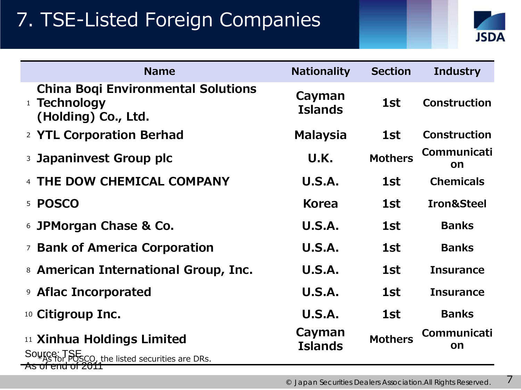### 7. TSE-Listed Foreign Companies



| <b>Name</b>                                                                                                  | <b>Nationality</b>       | <b>Section</b> | <b>Industry</b>       |
|--------------------------------------------------------------------------------------------------------------|--------------------------|----------------|-----------------------|
| <b>China Bogi Environmental Solutions</b><br><b>Technology</b><br>1<br>(Holding) Co., Ltd.                   | Cayman<br><b>Islands</b> | 1st            | <b>Construction</b>   |
| 2 YTL Corporation Berhad                                                                                     | <b>Malaysia</b>          | 1st            | <b>Construction</b>   |
| Japaninvest Group plc<br>$\mathbf{3}$                                                                        | U.K.                     | <b>Mothers</b> | Communicati<br>on     |
| THE DOW CHEMICAL COMPANY                                                                                     | U.S.A.                   | 1st            | <b>Chemicals</b>      |
| <b>POSCO</b><br>5                                                                                            | <b>Korea</b>             | 1st            | <b>Iron&amp;Steel</b> |
| <b>6 JPMorgan Chase &amp; Co.</b>                                                                            | U.S.A.                   | 1st            | <b>Banks</b>          |
| <sup>7</sup> Bank of America Corporation                                                                     | U.S.A.                   | 1st            | <b>Banks</b>          |
| <sup>8</sup> American International Group, Inc.                                                              | U.S.A.                   | 1st            | <b>Insurance</b>      |
| <b>9 Aflac Incorporated</b>                                                                                  | U.S.A.                   | 1st            | <b>Insurance</b>      |
| <sup>10</sup> Citigroup Inc.                                                                                 | <b>U.S.A.</b>            | 1st            | <b>Banks</b>          |
| <sup>11</sup> Xinhua Holdings Limited<br>Source: T<br>SCO, the listed securities are DRs.<br>AS OFEND OFZUTT | Cayman<br><b>Islands</b> | <b>Mothers</b> | Communicati<br>on     |